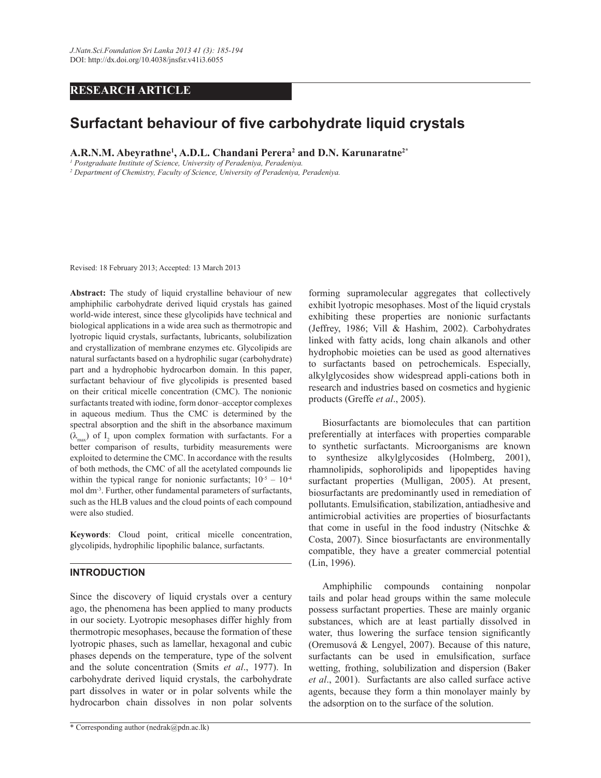# **RESEARCH ARTICLE**

# **Surfactant behaviour of five carbohydrate liquid crystals**

**A.R.N.M. Abeyrathne<sup>1</sup> , A.D.L. Chandani Perera<sup>2</sup> and D.N. Karunaratne2\*** 

<sup>1</sup> Postgraduate Institute of Science, University of Peradeniya, Peradeniya.

<sup>2</sup> Department of Chemistry, Faculty of Science, University of Peradeniya, Peradeniya.

Revised: 18 February 2013; Accepted: 13 March 2013

**Abstract:** The study of liquid crystalline behaviour of new amphiphilic carbohydrate derived liquid crystals has gained world-wide interest, since these glycolipids have technical and biological applications in a wide area such as thermotropic and lyotropic liquid crystals, surfactants, lubricants, solubilization and crystallization of membrane enzymes etc. Glycolipids are natural surfactants based on a hydrophilic sugar (carbohydrate) part and a hydrophobic hydrocarbon domain. In this paper, surfactant behaviour of five glycolipids is presented based on their critical micelle concentration (CMC). The nonionic surfactants treated with iodine, form donor–acceptor complexes in aqueous medium. Thus the CMC is determined by the spectral absorption and the shift in the absorbance maximum  $(\lambda_{\text{max}})$  of  $I_2$  upon complex formation with surfactants. For a better comparison of results, turbidity measurements were exploited to determine the CMC. In accordance with the results of both methods, the CMC of all the acetylated compounds lie within the typical range for nonionic surfactants;  $10^{-5} - 10^{-4}$ mol dm-3. Further, other fundamental parameters of surfactants, such as the HLB values and the cloud points of each compound were also studied.

**Keywords**: Cloud point, critical micelle concentration, glycolipids, hydrophilic lipophilic balance, surfactants.

# **INTRODUCTION**

Since the discovery of liquid crystals over a century ago, the phenomena has been applied to many products in our society. Lyotropic mesophases differ highly from thermotropic mesophases, because the formation of these lyotropic phases, such as lamellar, hexagonal and cubic phases depends on the temperature, type of the solvent and the solute concentration (Smits *et al*., 1977). In carbohydrate derived liquid crystals, the carbohydrate part dissolves in water or in polar solvents while the hydrocarbon chain dissolves in non polar solvents

forming supramolecular aggregates that collectively exhibit lyotropic mesophases. Most of the liquid crystals exhibiting these properties are nonionic surfactants (Jeffrey, 1986; Vill & Hashim, 2002). Carbohydrates linked with fatty acids, long chain alkanols and other hydrophobic moieties can be used as good alternatives to surfactants based on petrochemicals. Especially, alkylglycosides show widespread appli-cations both in research and industries based on cosmetics and hygienic products (Greffe *et al*., 2005).

 Biosurfactants are biomolecules that can partition preferentially at interfaces with properties comparable to synthetic surfactants. Microorganisms are known to synthesize alkylglycosides (Holmberg, 2001), rhamnolipids, sophorolipids and lipopeptides having surfactant properties (Mulligan, 2005). At present, biosurfactants are predominantly used in remediation of pollutants. Emulsification, stabilization, antiadhesive and antimicrobial activities are properties of biosurfactants that come in useful in the food industry (Nitschke & Costa, 2007). Since biosurfactants are environmentally compatible, they have a greater commercial potential (Lin, 1996).

 Amphiphilic compounds containing nonpolar tails and polar head groups within the same molecule possess surfactant properties. These are mainly organic substances, which are at least partially dissolved in water, thus lowering the surface tension significantly (Oremusová & Lengyel, 2007). Because of this nature, surfactants can be used in emulsification, surface wetting, frothing, solubilization and dispersion (Baker *et al*., 2001). Surfactants are also called surface active agents, because they form a thin monolayer mainly by the adsorption on to the surface of the solution.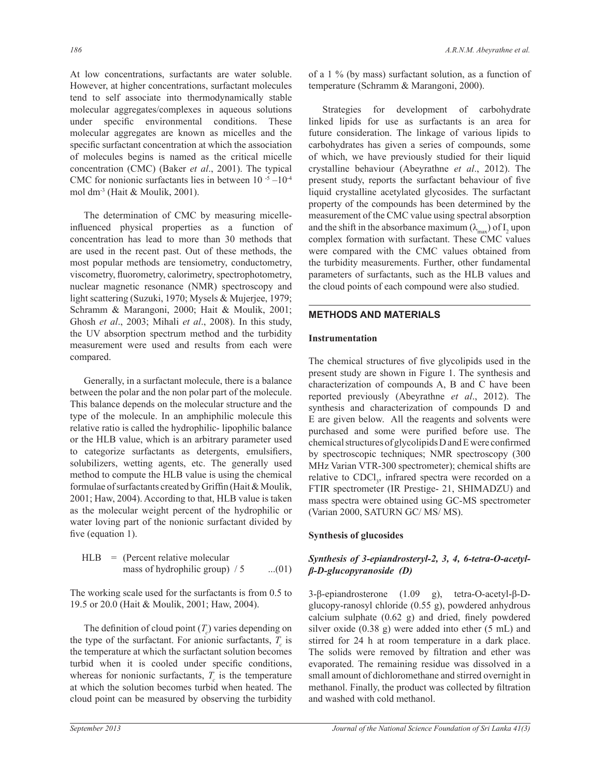At low concentrations, surfactants are water soluble. However, at higher concentrations, surfactant molecules tend to self associate into thermodynamically stable molecular aggregates/complexes in aqueous solutions under specific environmental conditions. These molecular aggregates are known as micelles and the specific surfactant concentration at which the association of molecules begins is named as the critical micelle concentration (CMC) (Baker *et al*., 2001). The typical CMC for nonionic surfactants lies in between  $10^{-5}$  – $10^{-4}$ mol dm-3 (Hait & Moulik, 2001).

 The determination of CMC by measuring micelleinfluenced physical properties as a function of concentration has lead to more than 30 methods that are used in the recent past. Out of these methods, the most popular methods are tensiometry, conductometry, viscometry, fluorometry, calorimetry, spectrophotometry, nuclear magnetic resonance (NMR) spectroscopy and light scattering (Suzuki, 1970; Mysels & Mujerjee, 1979; Schramm & Marangoni, 2000; Hait & Moulik, 2001; Ghosh *et al*., 2003; Mihali *et al*., 2008). In this study, the UV absorption spectrum method and the turbidity measurement were used and results from each were compared.

 Generally, in a surfactant molecule, there is a balance between the polar and the non polar part of the molecule. This balance depends on the molecular structure and the type of the molecule. In an amphiphilic molecule this relative ratio is called the hydrophilic- lipophilic balance or the HLB value, which is an arbitrary parameter used to categorize surfactants as detergents, emulsifiers, solubilizers, wetting agents, etc. The generally used method to compute the HLB value is using the chemical formulae of surfactants created by Griffin (Hait & Moulik, 2001; Haw, 2004). According to that, HLB value is taken as the molecular weight percent of the hydrophilic or water loving part of the nonionic surfactant divided by five (equation 1).

HLB = (Percent relative molecular mass of hydrophilic group) 
$$
/5
$$
 ...(01)

The working scale used for the surfactants is from 0.5 to 19.5 or 20.0 (Hait & Moulik, 2001; Haw, 2004).

The definition of cloud point  $(T_c)$  varies depending on the type of the surfactant. For anionic surfactants,  $T_c$  is the temperature at which the surfactant solution becomes turbid when it is cooled under specific conditions, whereas for nonionic surfactants,  $T_c$  is the temperature at which the solution becomes turbid when heated. The cloud point can be measured by observing the turbidity

of a 1 % (by mass) surfactant solution, as a function of temperature (Schramm & Marangoni, 2000).

 Strategies for development of carbohydrate linked lipids for use as surfactants is an area for future consideration. The linkage of various lipids to carbohydrates has given a series of compounds, some of which, we have previously studied for their liquid crystalline behaviour (Abeyrathne *et al*., 2012). The present study, reports the surfactant behaviour of five liquid crystalline acetylated glycosides. The surfactant property of the compounds has been determined by the measurement of the CMC value using spectral absorption and the shift in the absorbance maximum  $(\lambda_{\text{max}})$  of  $I_2$  upon complex formation with surfactant. These CMC values were compared with the CMC values obtained from the turbidity measurements. Further, other fundamental parameters of surfactants, such as the HLB values and the cloud points of each compound were also studied.

# **METHODS AND MATERIALS**

## **Instrumentation**

The chemical structures of five glycolipids used in the present study are shown in Figure 1. The synthesis and characterization of compounds A, B and C have been reported previously (Abeyrathne *et al*., 2012). The synthesis and characterization of compounds D and E are given below. All the reagents and solvents were purchased and some were purified before use. The chemical structures of glycolipids D and E were confirmed by spectroscopic techniques; NMR spectroscopy (300 MHz Varian VTR-300 spectrometer); chemical shifts are relative to CDCl<sub>3</sub>, infrared spectra were recorded on a FTIR spectrometer (IR Prestige- 21, SHIMADZU) and mass spectra were obtained using GC-MS spectrometer (Varian 2000, SATURN GC/ MS/ MS).

# **Synthesis of glucosides**

# *Synthesis of 3-epiandrosteryl-2, 3, 4, 6-tetra-O-acetylβ-D-glucopyranoside (D)*

3-β-epiandrosterone (1.09 g), tetra-O-acetyl-β-Dglucopy-ranosyl chloride (0.55 g), powdered anhydrous calcium sulphate (0.62 g) and dried, finely powdered silver oxide (0.38 g) were added into ether (5 mL) and stirred for 24 h at room temperature in a dark place. The solids were removed by filtration and ether was evaporated. The remaining residue was dissolved in a small amount of dichloromethane and stirred overnight in methanol. Finally, the product was collected by filtration and washed with cold methanol.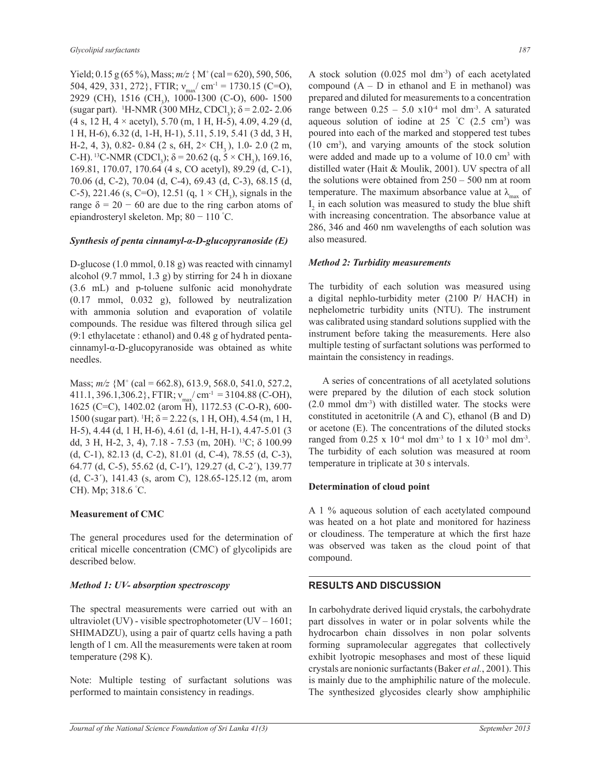Yield;  $0.15$  g (65 %), Mass;  $m/z$  { M<sup>+</sup> (cal = 620), 590, 506, 504, 429, 331, 272}, FTIR;  $v_{\text{max}}/$  cm<sup>-1</sup> = 1730.15 (C=O), 2929 (CH), 1516 (CH<sub>3</sub>), 1000-1300 (C-O), 600- 1500 (sugar part). <sup>1</sup>H-NMR (300 MHz, CDCl<sub>3</sub>);  $\delta$  = 2.02-2.06  $(4 \text{ s}, 12 \text{ H}, 4 \times \text{acetyl})$ , 5.70 (m, 1 H, H-5), 4.09, 4.29 (d, 1 H, H-6), 6.32 (d, 1-H, H-1), 5.11, 5.19, 5.41 (3 dd, 3 H, H-2, 4, 3), 0.82- 0.84 (2 s, 6H,  $2 \times$  CH<sub>2</sub>), 1.0- 2.0 (2 m, C-H). <sup>13</sup>C-NMR (CDCl<sub>3</sub>);  $\delta$  = 20.62 (q, 5 × CH<sub>3</sub>), 169.16, 169.81, 170.07, 170.64 (4 s, CO acetyl), 89.29 (d, C-1), 70.06 (d, C-2), 70.04 (d, C-4), 69.43 (d, C-3), 68.15 (d, C-5), 221.46 (s, C=O), 12.51 (q,  $1 \times CH_3$ ), signals in the range  $\delta = 20 - 60$  are due to the ring carbon atoms of epiandrosteryl skeleton. Mp; 80 − 110 °C.

## *Synthesis of penta cinnamyl-α-D-glucopyranoside (E)*

D-glucose (1.0 mmol, 0.18 g) was reacted with cinnamyl alcohol (9.7 mmol, 1.3 g) by stirring for 24 h in dioxane (3.6 mL) and p-toluene sulfonic acid monohydrate (0.17 mmol, 0.032 g), followed by neutralization with ammonia solution and evaporation of volatile compounds. The residue was filtered through silica gel (9:1 ethylacetate : ethanol) and 0.48 g of hydrated pentacinnamyl-α-D-glucopyranoside was obtained as white needles.

Mass; *m/z* {M<sup>+</sup> (cal = 662.8), 613.9, 568.0, 541.0, 527.2, 411.1, 396.1,306.2, FTIR;  $v_{max}$  cm<sup>-1</sup> = 3104.88 (C-OH), 1625 (C=C), 1402.02 (arom H), 1172.53 (C-O-R), 600- 1500 (sugar part). <sup>1</sup>H;  $\delta$  = 2.22 (s, 1 H, OH), 4.54 (m, 1 H, H-5), 4.44 (d, 1 H, H-6), 4.61 (d, 1-H, H-1), 4.47-5.01 (3 dd, 3 H, H-2, 3, 4), 7.18 - 7.53 (m, 20H). <sup>13</sup>C; δ 100.99 (d, C-1), 82.13 (d, C-2), 81.01 (d, C-4), 78.55 (d, C-3), 64.77 (d, C-5), 55.62 (d, C-1′), 129.27 (d, C-2´), 139.77 (d, C-3´), 141.43 (s, arom C), 128.65-125.12 (m, arom CH). Mp; 318.6 °C.

## **Measurement of CMC**

The general procedures used for the determination of critical micelle concentration (CMC) of glycolipids are described below.

#### *Method 1: UV- absorption spectroscopy*

The spectral measurements were carried out with an ultraviolet (UV) - visible spectrophotometer (UV – 1601; SHIMADZU), using a pair of quartz cells having a path length of 1 cm. All the measurements were taken at room temperature (298 K).

Note: Multiple testing of surfactant solutions was performed to maintain consistency in readings.

A stock solution  $(0.025 \text{ mol dm}^3)$  of each acetylated compound  $(A - D$  in ethanol and E in methanol) was prepared and diluted for measurements to a concentration range between  $0.25 - 5.0 \times 10^{-4}$  mol dm<sup>-3</sup>. A saturated aqueous solution of iodine at  $25 \degree C$  (2.5 cm<sup>3</sup>) was poured into each of the marked and stoppered test tubes (10 cm<sup>3</sup> ), and varying amounts of the stock solution were added and made up to a volume of 10.0 cm<sup>3</sup> with distilled water (Hait & Moulik, 2001). UV spectra of all the solutions were obtained from 250 – 500 nm at room temperature. The maximum absorbance value at  $\lambda_{\text{max}}$  of  $I_2$  in each solution was measured to study the blue shift with increasing concentration. The absorbance value at 286, 346 and 460 nm wavelengths of each solution was also measured.

## *Method 2: Turbidity measurements*

The turbidity of each solution was measured using a digital nephlo-turbidity meter (2100 P/ HACH) in nephelometric turbidity units (NTU). The instrument was calibrated using standard solutions supplied with the instrument before taking the measurements. Here also multiple testing of surfactant solutions was performed to maintain the consistency in readings.

 A series of concentrations of all acetylated solutions were prepared by the dilution of each stock solution  $(2.0 \text{ mmol dm}^3)$  with distilled water. The stocks were constituted in acetonitrile (A and C), ethanol (B and D) or acetone (E). The concentrations of the diluted stocks ranged from  $0.25 \times 10^{-4}$  mol dm<sup>-3</sup> to 1 x 10<sup>-3</sup> mol dm<sup>-3</sup>. The turbidity of each solution was measured at room temperature in triplicate at 30 s intervals.

## **Determination of cloud point**

A 1 % aqueous solution of each acetylated compound was heated on a hot plate and monitored for haziness or cloudiness. The temperature at which the first haze was observed was taken as the cloud point of that compound.

# **RESULTS AND DISCUSSION**

In carbohydrate derived liquid crystals, the carbohydrate part dissolves in water or in polar solvents while the hydrocarbon chain dissolves in non polar solvents forming supramolecular aggregates that collectively exhibit lyotropic mesophases and most of these liquid crystals are nonionic surfactants (Baker *et al.*, 2001). This is mainly due to the amphiphilic nature of the molecule. The synthesized glycosides clearly show amphiphilic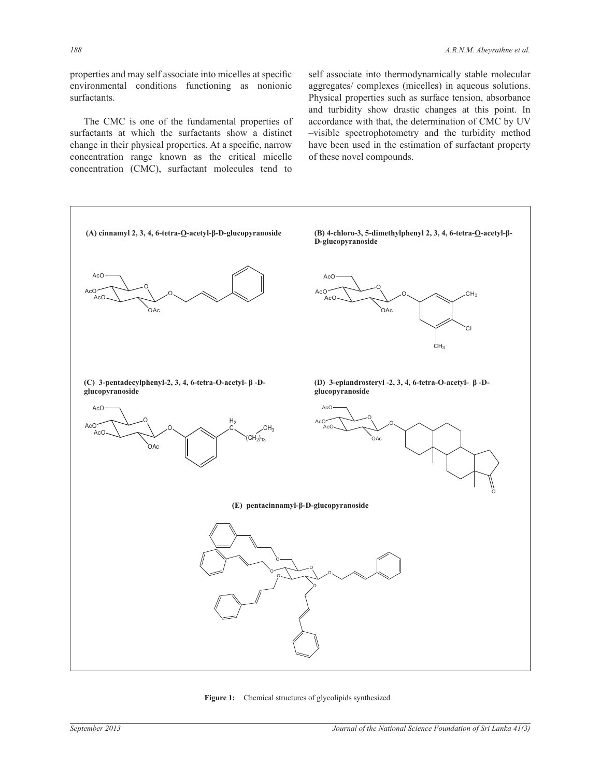properties and may self associate into micelles at specific environmental conditions functioning as nonionic surfactants.

 The CMC is one of the fundamental properties of surfactants at which the surfactants show a distinct change in their physical properties. At a specific, narrow concentration range known as the critical micelle concentration (CMC), surfactant molecules tend to

self associate into thermodynamically stable molecular aggregates/ complexes (micelles) in aqueous solutions. Physical properties such as surface tension, absorbance and turbidity show drastic changes at this point. In accordance with that, the determination of CMC by UV –visible spectrophotometry and the turbidity method have been used in the estimation of surfactant property of these novel compounds.



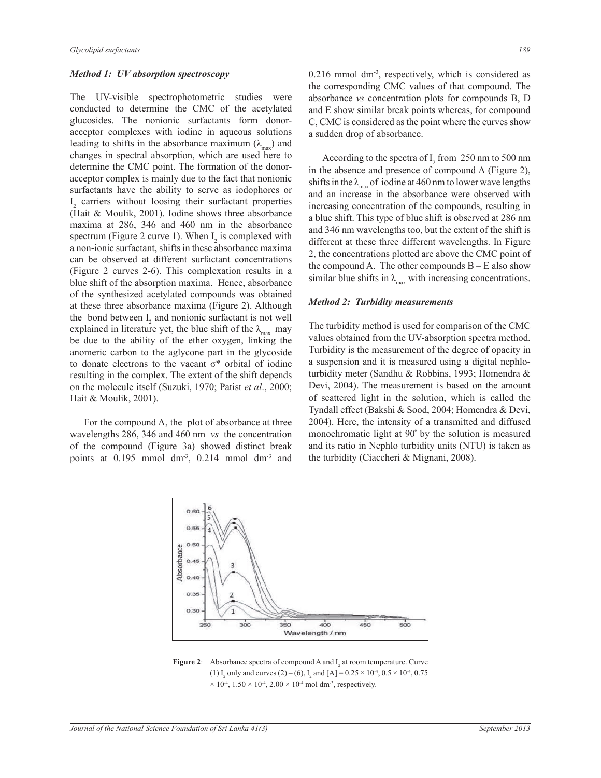#### *Method 1: UV absorption spectroscopy*

The UV-visible spectrophotometric studies were conducted to determine the CMC of the acetylated glucosides. The nonionic surfactants form donoracceptor complexes with iodine in aqueous solutions leading to shifts in the absorbance maximum  $(\lambda_{\text{max}})$  and changes in spectral absorption, which are used here to determine the CMC point. The formation of the donoracceptor complex is mainly due to the fact that nonionic surfactants have the ability to serve as iodophores or I 2 carriers without loosing their surfactant properties (Hait & Moulik, 2001). Iodine shows three absorbance maxima at 286, 346 and 460 nm in the absorbance spectrum (Figure 2 curve 1). When  $I_2$  is complexed with a non-ionic surfactant, shifts in these absorbance maxima can be observed at different surfactant concentrations (Figure 2 curves 2-6). This complexation results in a blue shift of the absorption maxima. Hence, absorbance of the synthesized acetylated compounds was obtained at these three absorbance maxima (Figure 2). Although the bond between  $I_2$  and nonionic surfactant is not well explained in literature yet, the blue shift of the  $\lambda_{\text{max}}$  may be due to the ability of the ether oxygen, linking the anomeric carbon to the aglycone part in the glycoside to donate electrons to the vacant  $\sigma^*$  orbital of iodine resulting in the complex. The extent of the shift depends on the molecule itself (Suzuki, 1970; Patist *et al*., 2000; Hait & Moulik, 2001).

 For the compound A, the plot of absorbance at three wavelengths 286, 346 and 460 nm *vs* the concentration of the compound (Figure 3a) showed distinct break points at 0.195 mmol dm<sup>-3</sup>, 0.214 mmol dm<sup>-3</sup> and  $0.216$  mmol dm<sup>-3</sup>, respectively, which is considered as the corresponding CMC values of that compound. The absorbance *vs* concentration plots for compounds B, D and E show similar break points whereas, for compound C, CMC is considered as the point where the curves show a sudden drop of absorbance.

According to the spectra of  $I_2$  from 250 nm to 500 nm in the absence and presence of compound A (Figure 2), shifts in the  $\lambda_{\text{max}}$  of iodine at 460 nm to lower wave lengths and an increase in the absorbance were observed with increasing concentration of the compounds, resulting in a blue shift. This type of blue shift is observed at 286 nm and 346 nm wavelengths too, but the extent of the shift is different at these three different wavelengths. In Figure 2, the concentrations plotted are above the CMC point of the compound A. The other compounds  $B - E$  also show similar blue shifts in  $\lambda_{\text{max}}$  with increasing concentrations.

#### *Method 2: Turbidity measurements*

The turbidity method is used for comparison of the CMC values obtained from the UV-absorption spectra method. Turbidity is the measurement of the degree of opacity in a suspension and it is measured using a digital nephloturbidity meter (Sandhu & Robbins, 1993; Homendra & Devi, 2004). The measurement is based on the amount of scattered light in the solution, which is called the Tyndall effect (Bakshi & Sood, 2004; Homendra & Devi, 2004). Here, the intensity of a transmitted and diffused monochromatic light at 90<sup>º</sup> by the solution is measured and its ratio in Nephlo turbidity units (NTU) is taken as the turbidity (Ciaccheri & Mignani, 2008).



**Figure 2:** Absorbance spectra of compound A and  $I_2$  at room temperature. Curve (1) I<sub>2</sub> only and curves (2) – (6), I<sub>2</sub> and [A] =  $0.25 \times 10^{-4}$ ,  $0.5 \times 10^{-4}$ ,  $0.75$  $\times$  10<sup>-4</sup>, 1.50  $\times$  10<sup>-4</sup>, 2.00  $\times$  10<sup>-4</sup> mol dm<sup>-3</sup>, respectively.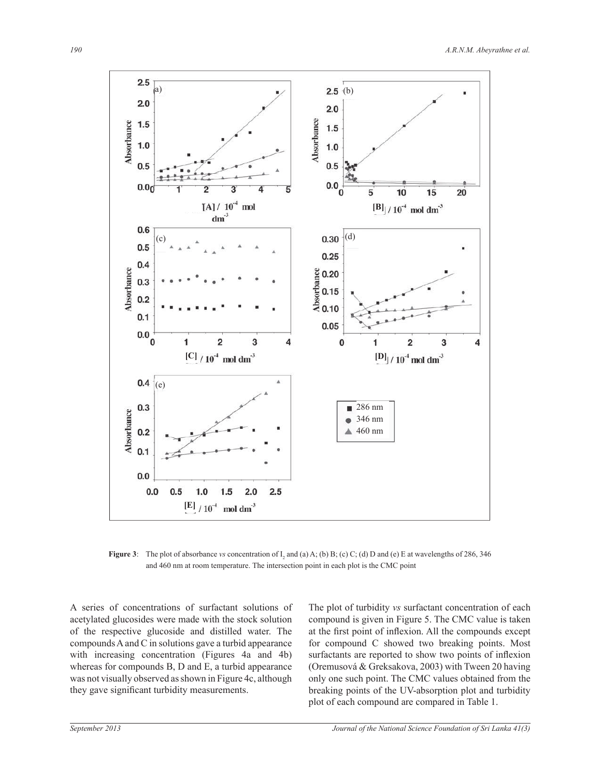

**Figure 3**: The plot of absorbance *vs* concentration of  $I_2$  and (a) A; (b) B; (c) C; (d) D and (e) E at wavelengths of 286, 346 and 460 nm at room temperature. The intersection point in each plot is the CMC point

A series of concentrations of surfactant solutions of acetylated glucosides were made with the stock solution of the respective glucoside and distilled water. The compounds A and C in solutions gave a turbid appearance with increasing concentration (Figures 4a and 4b) whereas for compounds B, D and E, a turbid appearance was not visually observed as shown in Figure 4c, although they gave significant turbidity measurements.

The plot of turbidity *vs* surfactant concentration of each compound is given in Figure 5. The CMC value is taken at the first point of inflexion. All the compounds except for compound C showed two breaking points. Most surfactants are reported to show two points of inflexion (Oremusová & Greksakova, 2003) with Tween 20 having only one such point. The CMC values obtained from the breaking points of the UV-absorption plot and turbidity plot of each compound are compared in Table 1.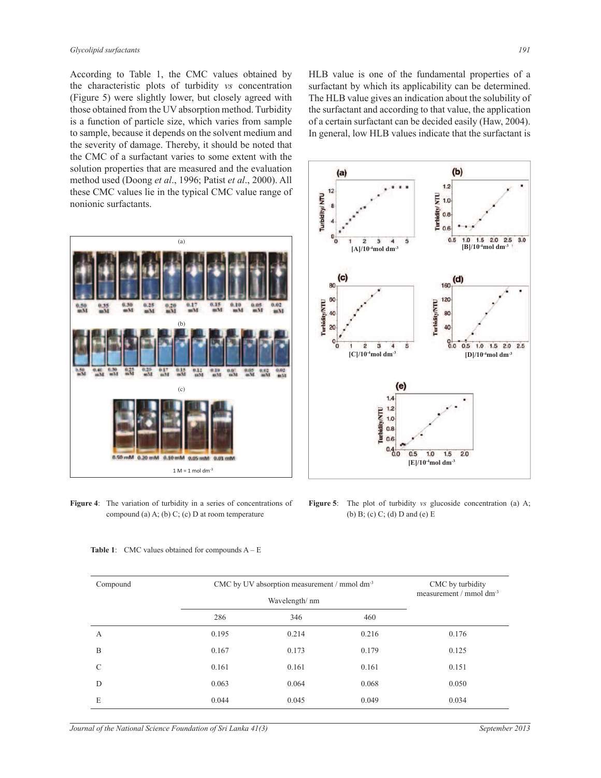According to Table 1, the CMC values obtained by the characteristic plots of turbidity *vs* concentration (Figure 5) were slightly lower, but closely agreed with those obtained from the UV absorption method. Turbidity is a function of particle size, which varies from sample to sample, because it depends on the solvent medium and the severity of damage. Thereby, it should be noted that the CMC of a surfactant varies to some extent with the solution properties that are measured and the evaluation method used (Doong *et al*., 1996; Patist *et al*., 2000). All these CMC values lie in the typical CMC value range of nonionic surfactants.





**Figure 4**: The variation of turbidity in a series of concentrations of compound (a) A; (b) C; (c) D at room temperature



HLB value is one of the fundamental properties of a surfactant by which its applicability can be determined.

**Figure 5**: The plot of turbidity *vs* glucoside concentration (a) A; (b) B; (c) C; (d) D and (e) E

| Compound      | CMC by UV absorption measurement / mmol dm <sup>-3</sup> |                |       | CMC by turbidity<br>measurement / mmol $dm^{-3}$ |  |
|---------------|----------------------------------------------------------|----------------|-------|--------------------------------------------------|--|
|               |                                                          | Wavelength/ nm |       |                                                  |  |
|               | 286                                                      | 346            | 460   |                                                  |  |
| А             | 0.195                                                    | 0.214          | 0.216 | 0.176                                            |  |
| B             | 0.167                                                    | 0.173          | 0.179 | 0.125                                            |  |
| $\mathcal{C}$ | 0.161                                                    | 0.161          | 0.161 | 0.151                                            |  |
| D             | 0.063                                                    | 0.064          | 0.068 | 0.050                                            |  |
| E             | 0.044                                                    | 0.045          | 0.049 | 0.034                                            |  |

**Table 1**: CMC values obtained for compounds  $A - E$ 

*Journal of the National Science Foundation of Sri Lanka 41(3) September 2013*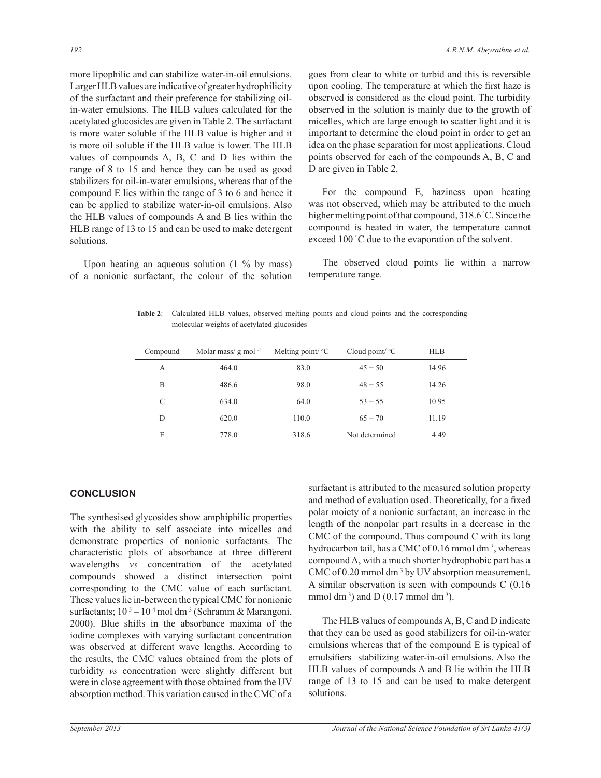more lipophilic and can stabilize water-in-oil emulsions. Larger HLB values are indicative of greater hydrophilicity of the surfactant and their preference for stabilizing oilin-water emulsions. The HLB values calculated for the acetylated glucosides are given in Table 2. The surfactant is more water soluble if the HLB value is higher and it is more oil soluble if the HLB value is lower. The HLB values of compounds A, B, C and D lies within the range of 8 to 15 and hence they can be used as good stabilizers for oil-in-water emulsions, whereas that of the compound E lies within the range of 3 to 6 and hence it can be applied to stabilize water-in-oil emulsions. Also the HLB values of compounds A and B lies within the HLB range of 13 to 15 and can be used to make detergent solutions.

 Upon heating an aqueous solution (1 % by mass) of a nonionic surfactant, the colour of the solution goes from clear to white or turbid and this is reversible upon cooling. The temperature at which the first haze is observed is considered as the cloud point. The turbidity observed in the solution is mainly due to the growth of micelles, which are large enough to scatter light and it is important to determine the cloud point in order to get an idea on the phase separation for most applications. Cloud points observed for each of the compounds A, B, C and D are given in Table 2.

 For the compound E, haziness upon heating was not observed, which may be attributed to the much higher melting point of that compound, 318.6 °C. Since the compound is heated in water, the temperature cannot exceed 100 °C due to the evaporation of the solvent.

 The observed cloud points lie within a narrow temperature range.

**Table 2**: Calculated HLB values, observed melting points and cloud points and the corresponding molecular weights of acetylated glucosides

| Compound | Molar mass/ $g$ mol <sup>-1</sup> | Melting point/ ${}^{\circ}C$ | Cloud point/ ${}^{\circ}C$ | <b>HLB</b> |  |
|----------|-----------------------------------|------------------------------|----------------------------|------------|--|
| А        | 464.0                             | 83.0                         | $45 - 50$                  | 14.96      |  |
| B        | 486.6                             | 98.0                         | $48 - 55$                  | 14.26      |  |
| C        | 634.0                             | 64.0                         | $53 - 55$                  | 10.95      |  |
| D        | 620.0                             | 110.0                        | $65 - 70$                  | 11.19      |  |
| E        | 778.0                             | 318.6                        | Not determined             | 4.49       |  |
|          |                                   |                              |                            |            |  |

# **CONCLUSION**

The synthesised glycosides show amphiphilic properties with the ability to self associate into micelles and demonstrate properties of nonionic surfactants. The characteristic plots of absorbance at three different wavelengths *vs* concentration of the acetylated compounds showed a distinct intersection point corresponding to the CMC value of each surfactant. These values lie in-between the typical CMC for nonionic surfactants;  $10^{-5} - 10^{-4}$  mol dm<sup>-3</sup> (Schramm & Marangoni, 2000). Blue shifts in the absorbance maxima of the iodine complexes with varying surfactant concentration was observed at different wave lengths. According to the results, the CMC values obtained from the plots of turbidity *vs* concentration were slightly different but were in close agreement with those obtained from the UV absorption method. This variation caused in the CMC of a

surfactant is attributed to the measured solution property and method of evaluation used. Theoretically, for a fixed polar moiety of a nonionic surfactant, an increase in the length of the nonpolar part results in a decrease in the CMC of the compound. Thus compound C with its long hydrocarbon tail, has a CMC of  $0.16$  mmol dm<sup>-3</sup>, whereas compound A, with a much shorter hydrophobic part has a CMC of 0.20 mmol dm<sup>-3</sup> by UV absorption measurement. A similar observation is seen with compounds C (0.16 mmol dm<sup>-3</sup>) and D  $(0.17 \text{ mmol dm}^{-3})$ .

 The HLB values of compounds A, B, C and D indicate that they can be used as good stabilizers for oil-in-water emulsions whereas that of the compound E is typical of emulsifiers stabilizing water-in-oil emulsions. Also the HLB values of compounds A and B lie within the HLB range of 13 to 15 and can be used to make detergent solutions.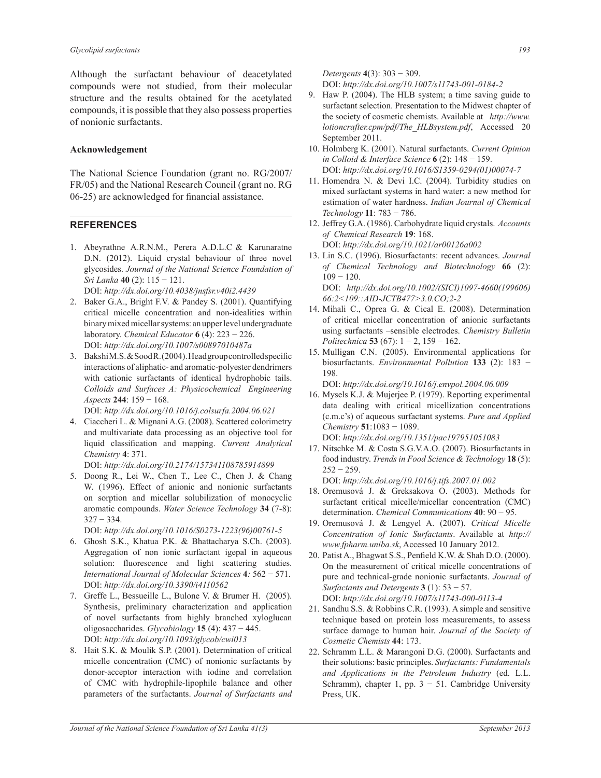Although the surfactant behaviour of deacetylated compounds were not studied, from their molecular structure and the results obtained for the acetylated compounds, it is possible that they also possess properties of nonionic surfactants.

#### **Acknowledgement**

The National Science Foundation (grant no. RG/2007/ FR/05) and the National Research Council (grant no. RG 06-25) are acknowledged for financial assistance.

## **REFERENCES**

- 1. Abeyrathne A.R.N.M., Perera A.D.L.C & Karunaratne D.N. (2012). Liquid crystal behaviour of three novel glycosides. *Journal of the National Science Foundation of Sri Lanka* **40** (2): 115 − 121. DOI: *http://dx.doi.org/10.4038/jnsfsr.v40i2.4439*
- 2. Baker G.A., Bright F.V. & Pandey S. (2001). Quantifying critical micelle concentration and non-idealities within binary mixed micellar systems: an upper level undergraduate laboratory. *Chemical Educator* **6** (4): 223 − 226. DOI: *http://dx.doi.org/10.1007/s00897010487a*
- 3. Bakshi M.S. & Sood R. (2004). Head group controlled specific interactions of aliphatic- and aromatic-polyester dendrimers with cationic surfactants of identical hydrophobic tails. *Colloids and Surfaces A: Physicochemical Engineering Aspects* **244**: 159 − 168.

DOI: *http://dx.doi.org/10.1016/j.colsurfa.2004.06.021*

4. Ciaccheri L. & Mignani A.G. (2008). Scattered colorimetry and multivariate data processing as an objective tool for liquid classification and mapping. *Current Analytical Chemistry* **4**: 371.

DOI: *http://dx.doi.org/10.2174/157341108785914899*

5. Doong R., Lei W., Chen T., Lee C., Chen J. & Chang W. (1996). Effect of anionic and nonionic surfactants on sorption and micellar solubilization of monocyclic aromatic compounds. *Water Science Technology* **34** (7-8): 327 − 334.

DOI: *http://dx.doi.org/10.1016/S0273-1223(96)00761-5*

- 6. Ghosh S.K., Khatua P.K. & Bhattacharya S.Ch. (2003). Aggregation of non ionic surfactant igepal in aqueous solution: fluorescence and light scattering studies. *International Journal of Molecular Sciences* **4***:* 562 − 571. DOI: *http://dx.doi.org/10.3390/i4110562*
- 7. Greffe L., Bessueille L., Bulone V. & Brumer H. (2005). Synthesis, preliminary characterization and application of novel surfactants from highly branched xyloglucan oligosaccharides. *Glycobiology* **15** (4): 437 − 445. DOI: *http://dx.doi.org/10.1093/glycob/cwi013*
- 8. Hait S.K. & Moulik S.P. (2001). Determination of critical micelle concentration (CMC) of nonionic surfactants by donor-acceptor interaction with iodine and correlation of CMC with hydrophile-lipophile balance and other parameters of the surfactants. *Journal of Surfactants and*

*Detergents* **4**(3): 303 − 309.

DOI: *http://dx.doi.org/10.1007/s11743-001-0184-2*

- 9. Haw P. (2004). The HLB system; a time saving guide to surfactant selection. Presentation to the Midwest chapter of the society of cosmetic chemists. Available at *http://www. lotioncrafter.cpm/pdf/The\_HLBsystem.pdf*, Accessed 20 September 2011.
- 10. Holmberg K. (2001). Natural surfactants. *Current Opinion in Colloid & Interface Science* **6** (2): 148 − 159. DOI: *http://dx.doi.org/10.1016/S1359-0294(01)00074-7*
- 11. Homendra N. & Devi I.C. (2004). Turbidity studies on mixed surfactant systems in hard water: a new method for estimation of water hardness. *Indian Journal of Chemical Technology* **11**: 783 − 786.

12. Jeffrey G.A. (1986). Carbohydrate liquid crystals. *Accounts of Chemical Research* **19**: 168.

DOI: *http://dx.doi.org/10.1021/ar00126a002* 13. Lin S.C. (1996). Biosurfactants: recent advances. *Journal* 

*of Chemical Technology and Biotechnology* **66** (2): 109 − 120. DOI: *http://dx.doi.org/10.1002/(SICI)1097-4660(199606)* 

*66:2<109::AID-JCTB477>3.0.CO;2-2*

- 14. Mihali C., Oprea G. & Cical E. (2008). Determination of critical micellar concentration of anionic surfactants using surfactants –sensible electrodes. *Chemistry Bulletin Politechnica* **53** (67): 1 − 2, 159 − 162.
- 15. Mulligan C.N. (2005). Environmental applications for biosurfactants. *Environmental Pollution* **133** (2): 183 − 198.

DOI: *http://dx.doi.org/10.1016/j.envpol.2004.06.009*

- 16. Mysels K.J. & Mujerjee P. (1979). Reporting experimental data dealing with critical micellization concentrations (c.m.c's) of aqueous surfactant systems. *Pure and Applied Chemistry* **51**:1083 − 1089. DOI: *http://dx.doi.org/10.1351/pac197951051083*
- 17. Nitschke M. & Costa S.G.V.A.O. (2007). Biosurfactants in food industry. *Trends in Food Science & Technology* **18** (5):  $252 - 259$ .

DOI: *http://dx.doi.org/10.1016/j.tifs.2007.01.002*

- 18. Oremusová J. & Greksakova O. (2003). Methods for surfactant critical micelle/micellar concentration (CMC) determination. *Chemical Communications* **40**: 90 − 95.
- 19. Oremusová J. & Lengyel A. (2007). *Critical Micelle Concentration of Ionic Surfactants*. Available at *http:// www.fpharm.uniba.sk*, Accessed 10 January 2012.
- 20. Patist A., Bhagwat S.S., Penfield K.W. & Shah D.O. (2000). On the measurement of critical micelle concentrations of pure and technical-grade nonionic surfactants. *Journal of Surfactants and Detergents* **3** (1): 53 − 57. DOI: *http://dx.doi.org/10.1007/s11743-000-0113-4*
- 21. Sandhu S.S. & Robbins C.R. (1993). A simple and sensitive technique based on protein loss measurements, to assess surface damage to human hair. *Journal of the Society of Cosmetic Chemists* **44**: 173.
- 22. Schramm L.L. & Marangoni D.G. (2000). Surfactants and their solutions: basic principles. *Surfactants: Fundamentals and Applications in the Petroleum Industry* (ed. L.L. Schramm), chapter 1, pp.  $3 - 51$ . Cambridge University Press, UK.